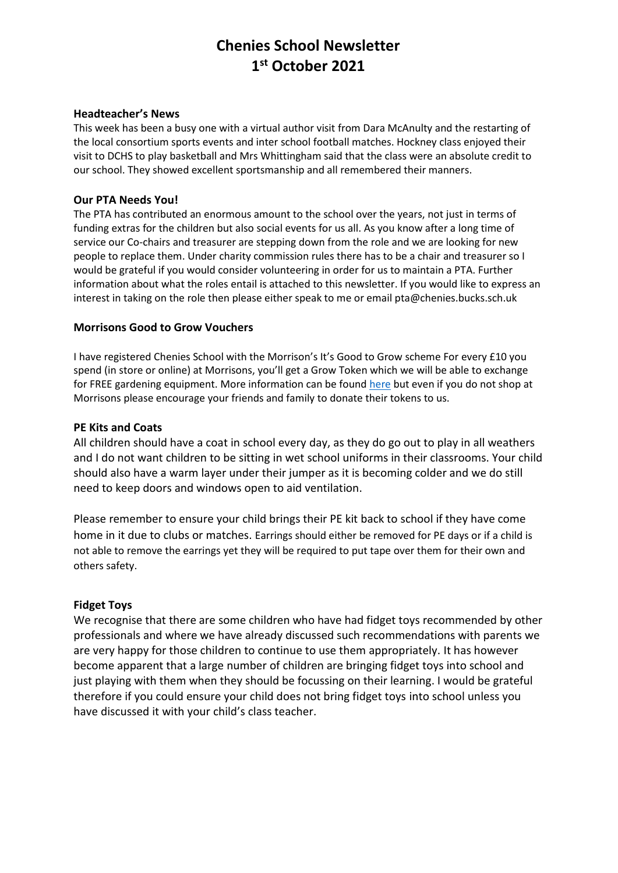# **Chenies School Newsletter 1 st October 2021**

#### **Headteacher's News**

This week has been a busy one with a virtual author visit from Dara McAnulty and the restarting of the local consortium sports events and inter school football matches. Hockney class enjoyed their visit to DCHS to play basketball and Mrs Whittingham said that the class were an absolute credit to our school. They showed excellent sportsmanship and all remembered their manners.

#### **Our PTA Needs You!**

The PTA has contributed an enormous amount to the school over the years, not just in terms of funding extras for the children but also social events for us all. As you know after a long time of service our Co-chairs and treasurer are stepping down from the role and we are looking for new people to replace them. Under charity commission rules there has to be a chair and treasurer so I would be grateful if you would consider volunteering in order for us to maintain a PTA. Further information about what the roles entail is attached to this newsletter. If you would like to express an interest in taking on the role then please either speak to me or email pta@chenies.bucks.sch.uk

#### **Morrisons Good to Grow Vouchers**

I have registered Chenies School with the Morrison's It's Good to Grow scheme For every £10 you spend (in store or online) at Morrisons, you'll get a Grow Token which we will be able to exchange for FREE gardening equipment. More information can be found [here](https://my.morrisons.com/blog/community/good-to-grow/) but even if you do not shop at Morrisons please encourage your friends and family to donate their tokens to us.

#### **PE Kits and Coats**

All children should have a coat in school every day, as they do go out to play in all weathers and I do not want children to be sitting in wet school uniforms in their classrooms. Your child should also have a warm layer under their jumper as it is becoming colder and we do still need to keep doors and windows open to aid ventilation.

Please remember to ensure your child brings their PE kit back to school if they have come home in it due to clubs or matches. Earrings should either be removed for PE days or if a child is not able to remove the earrings yet they will be required to put tape over them for their own and others safety.

#### **Fidget Toys**

We recognise that there are some children who have had fidget toys recommended by other professionals and where we have already discussed such recommendations with parents we are very happy for those children to continue to use them appropriately. It has however become apparent that a large number of children are bringing fidget toys into school and just playing with them when they should be focussing on their learning. I would be grateful therefore if you could ensure your child does not bring fidget toys into school unless you have discussed it with your child's class teacher.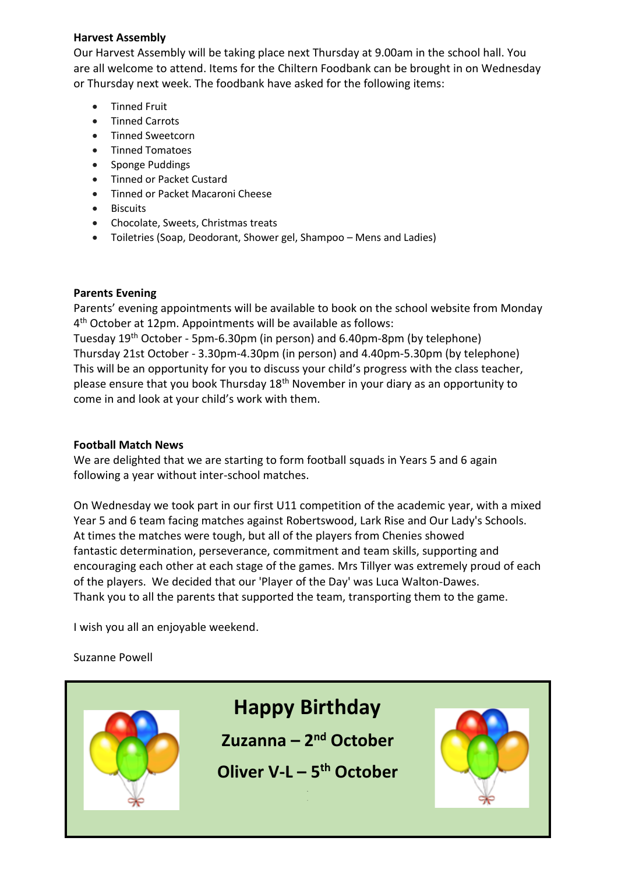## **Harvest Assembly**

Our Harvest Assembly will be taking place next Thursday at 9.00am in the school hall. You are all welcome to attend. Items for the Chiltern Foodbank can be brought in on Wednesday or Thursday next week. The foodbank have asked for the following items:

- **•** Tinned Fruit
- Tinned Carrots
- Tinned Sweetcorn
- Tinned Tomatoes
- Sponge Puddings
- **•** Tinned or Packet Custard
- Tinned or Packet Macaroni Cheese
- Biscuits
- Chocolate, Sweets, Christmas treats
- Toiletries (Soap, Deodorant, Shower gel, Shampoo Mens and Ladies)

# **Parents Evening**

Parents' evening appointments will be available to book on the school website from Monday 4 th October at 12pm. Appointments will be available as follows:

Tuesday 19th October - 5pm-6.30pm (in person) and 6.40pm-8pm (by telephone) Thursday 21st October - 3.30pm-4.30pm (in person) and 4.40pm-5.30pm (by telephone) This will be an opportunity for you to discuss your child's progress with the class teacher, please ensure that you book Thursday 18th November in your diary as an opportunity to come in and look at your child's work with them.

# **Football Match News**

We are delighted that we are starting to form football squads in Years 5 and 6 again following a year without inter-school matches.

On Wednesday we took part in our first U11 competition of the academic year, with a mixed Year 5 and 6 team facing matches against Robertswood, Lark Rise and Our Lady's Schools. At times the matches were tough, but all of the players from Chenies showed fantastic determination, perseverance, commitment and team skills, supporting and encouraging each other at each stage of the games. Mrs Tillyer was extremely proud of each of the players. We decided that our 'Player of the Day' was Luca Walton-Dawes. Thank you to all the parents that supported the team, transporting them to the game.

I wish you all an enjoyable weekend.

Suzanne Powell

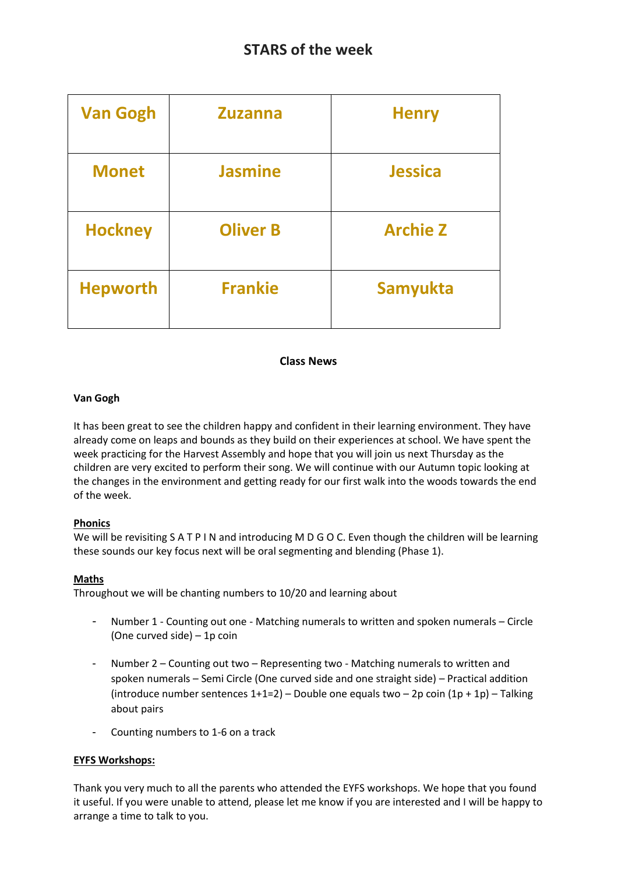| <b>Van Gogh</b> | <b>Zuzanna</b>  | <b>Henry</b>    |
|-----------------|-----------------|-----------------|
| <b>Monet</b>    | <b>Jasmine</b>  | <b>Jessica</b>  |
| <b>Hockney</b>  | <b>Oliver B</b> | <b>Archie Z</b> |
| <b>Hepworth</b> | <b>Frankie</b>  | Samyukta        |

## **Class News**

## **Van Gogh**

It has been great to see the children happy and confident in their learning environment. They have already come on leaps and bounds as they build on their experiences at school. We have spent the week practicing for the Harvest Assembly and hope that you will join us next Thursday as the children are very excited to perform their song. We will continue with our Autumn topic looking at the changes in the environment and getting ready for our first walk into the woods towards the end of the week.

## **Phonics**

We will be revisiting S A T P I N and introducing M D G O C. Even though the children will be learning these sounds our key focus next will be oral segmenting and blending (Phase 1).

#### **Maths**

Throughout we will be chanting numbers to 10/20 and learning about

- Number 1 Counting out one Matching numerals to written and spoken numerals Circle (One curved side) – 1p coin
- Number 2 Counting out two Representing two Matching numerals to written and spoken numerals – Semi Circle (One curved side and one straight side) – Practical addition (introduce number sentences  $1+1=2$ ) – Double one equals two – 2p coin  $(1p + 1p)$  – Talking about pairs
- Counting numbers to 1-6 on a track

## **EYFS Workshops:**

Thank you very much to all the parents who attended the EYFS workshops. We hope that you found it useful. If you were unable to attend, please let me know if you are interested and I will be happy to arrange a time to talk to you.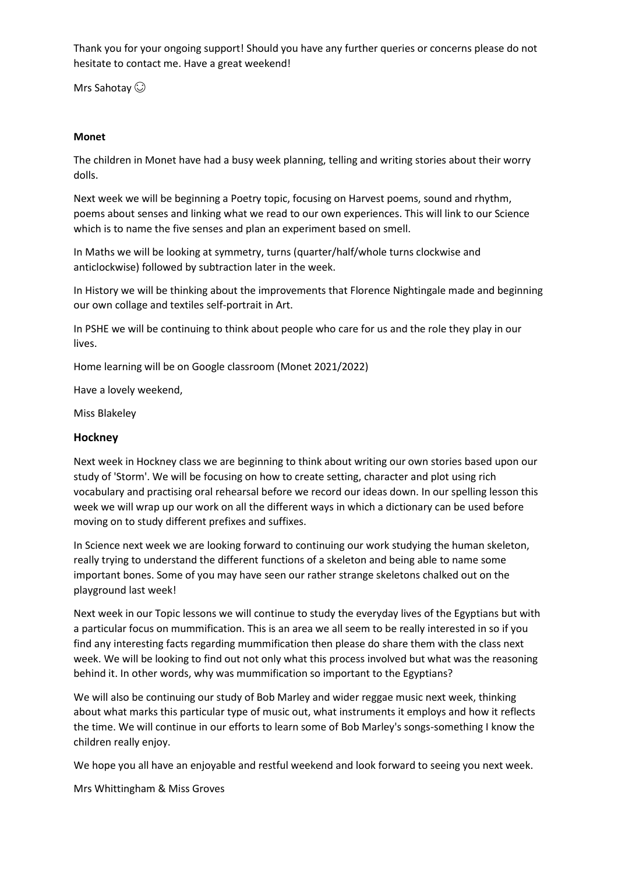Thank you for your ongoing support! Should you have any further queries or concerns please do not hesitate to contact me. Have a great weekend!

Mrs Sahotay  $\odot$ 

#### **Monet**

The children in Monet have had a busy week planning, telling and writing stories about their worry dolls.

Next week we will be beginning a Poetry topic, focusing on Harvest poems, sound and rhythm, poems about senses and linking what we read to our own experiences. This will link to our Science which is to name the five senses and plan an experiment based on smell.

In Maths we will be looking at symmetry, turns (quarter/half/whole turns clockwise and anticlockwise) followed by subtraction later in the week.

In History we will be thinking about the improvements that Florence Nightingale made and beginning our own collage and textiles self-portrait in Art.

In PSHE we will be continuing to think about people who care for us and the role they play in our lives.

Home learning will be on Google classroom (Monet 2021/2022)

Have a lovely weekend,

Miss Blakeley

#### **Hockney**

Next week in Hockney class we are beginning to think about writing our own stories based upon our study of 'Storm'. We will be focusing on how to create setting, character and plot using rich vocabulary and practising oral rehearsal before we record our ideas down. In our spelling lesson this week we will wrap up our work on all the different ways in which a dictionary can be used before moving on to study different prefixes and suffixes.

In Science next week we are looking forward to continuing our work studying the human skeleton, really trying to understand the different functions of a skeleton and being able to name some important bones. Some of you may have seen our rather strange skeletons chalked out on the playground last week!

Next week in our Topic lessons we will continue to study the everyday lives of the Egyptians but with a particular focus on mummification. This is an area we all seem to be really interested in so if you find any interesting facts regarding mummification then please do share them with the class next week. We will be looking to find out not only what this process involved but what was the reasoning behind it. In other words, why was mummification so important to the Egyptians?

We will also be continuing our study of Bob Marley and wider reggae music next week, thinking about what marks this particular type of music out, what instruments it employs and how it reflects the time. We will continue in our efforts to learn some of Bob Marley's songs-something I know the children really enjoy.

We hope you all have an enjoyable and restful weekend and look forward to seeing you next week.

Mrs Whittingham & Miss Groves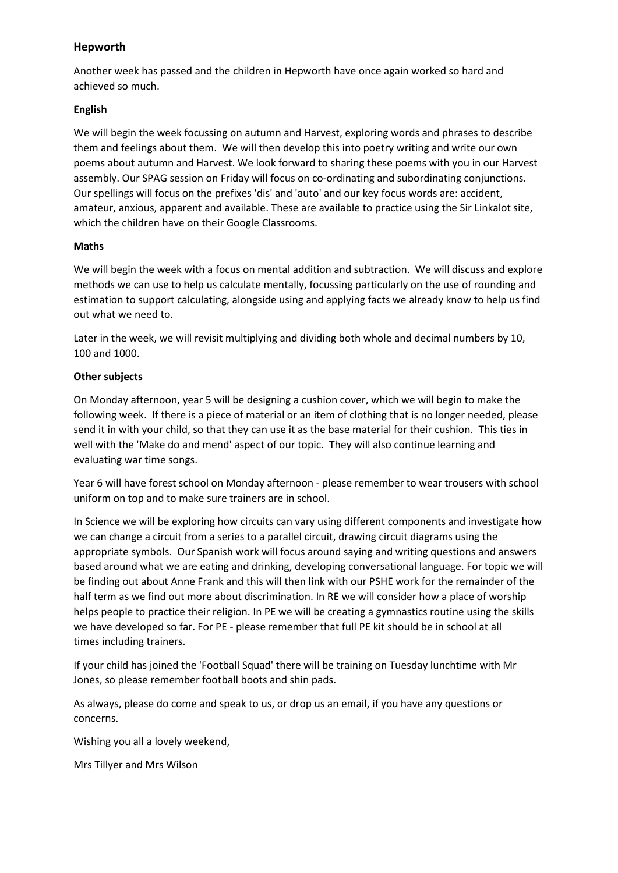## **Hepworth**

Another week has passed and the children in Hepworth have once again worked so hard and achieved so much.

## **English**

We will begin the week focussing on autumn and Harvest, exploring words and phrases to describe them and feelings about them. We will then develop this into poetry writing and write our own poems about autumn and Harvest. We look forward to sharing these poems with you in our Harvest assembly. Our SPAG session on Friday will focus on co-ordinating and subordinating conjunctions. Our spellings will focus on the prefixes 'dis' and 'auto' and our key focus words are: accident, amateur, anxious, apparent and available. These are available to practice using the Sir Linkalot site, which the children have on their Google Classrooms.

#### **Maths**

We will begin the week with a focus on mental addition and subtraction. We will discuss and explore methods we can use to help us calculate mentally, focussing particularly on the use of rounding and estimation to support calculating, alongside using and applying facts we already know to help us find out what we need to.

Later in the week, we will revisit multiplying and dividing both whole and decimal numbers by 10, 100 and 1000.

## **Other subjects**

On Monday afternoon, year 5 will be designing a cushion cover, which we will begin to make the following week. If there is a piece of material or an item of clothing that is no longer needed, please send it in with your child, so that they can use it as the base material for their cushion. This ties in well with the 'Make do and mend' aspect of our topic. They will also continue learning and evaluating war time songs.

Year 6 will have forest school on Monday afternoon - please remember to wear trousers with school uniform on top and to make sure trainers are in school.

In Science we will be exploring how circuits can vary using different components and investigate how we can change a circuit from a series to a parallel circuit, drawing circuit diagrams using the appropriate symbols. Our Spanish work will focus around saying and writing questions and answers based around what we are eating and drinking, developing conversational language. For topic we will be finding out about Anne Frank and this will then link with our PSHE work for the remainder of the half term as we find out more about discrimination. In RE we will consider how a place of worship helps people to practice their religion. In PE we will be creating a gymnastics routine using the skills we have developed so far. For PE - please remember that full PE kit should be in school at all times including trainers.

If your child has joined the 'Football Squad' there will be training on Tuesday lunchtime with Mr Jones, so please remember football boots and shin pads.

As always, please do come and speak to us, or drop us an email, if you have any questions or concerns.

Wishing you all a lovely weekend,

Mrs Tillyer and Mrs Wilson